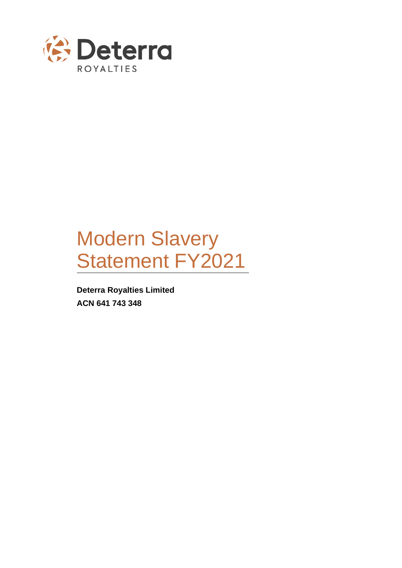

# Modern Slavery Statement FY2021

**Deterra Royalties Limited ACN 641 743 348**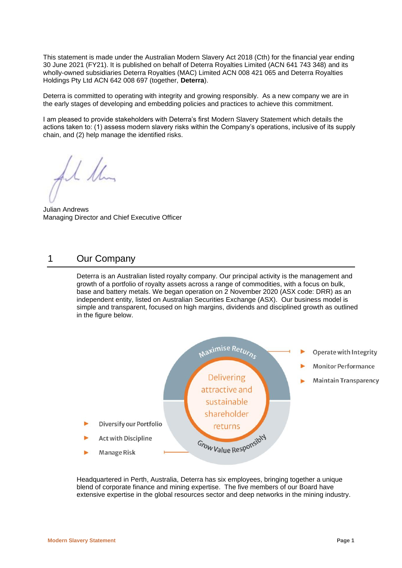This statement is made under the Australian Modern Slavery Act 2018 (Cth) for the financial year ending 30 June 2021 (FY21). It is published on behalf of Deterra Royalties Limited (ACN 641 743 348) and its wholly-owned subsidiaries Deterra Royalties (MAC) Limited ACN 008 421 065 and Deterra Royalties Holdings Pty Ltd ACN 642 008 697 (together, **Deterra**).

Deterra is committed to operating with integrity and growing responsibly. As a new company we are in the early stages of developing and embedding policies and practices to achieve this commitment.

I am pleased to provide stakeholders with Deterra's first Modern Slavery Statement which details the actions taken to: (1) assess modern slavery risks within the Company's operations, inclusive of its supply chain, and (2) help manage the identified risks.

 $\frac{1}{k}$ 

Julian Andrews Managing Director and Chief Executive Officer

#### 1 Our Company

Deterra is an Australian listed royalty company. Our principal activity is the management and growth of a portfolio of royalty assets across a range of commodities, with a focus on bulk, base and battery metals. We began operation on 2 November 2020 (ASX code: DRR) as an independent entity, listed on Australian Securities Exchange (ASX). Our business model is simple and transparent, focused on high margins, dividends and disciplined growth as outlined in the figure below.



Headquartered in Perth, Australia, Deterra has six employees, bringing together a unique blend of corporate finance and mining expertise. The five members of our Board have extensive expertise in the global resources sector and deep networks in the mining industry.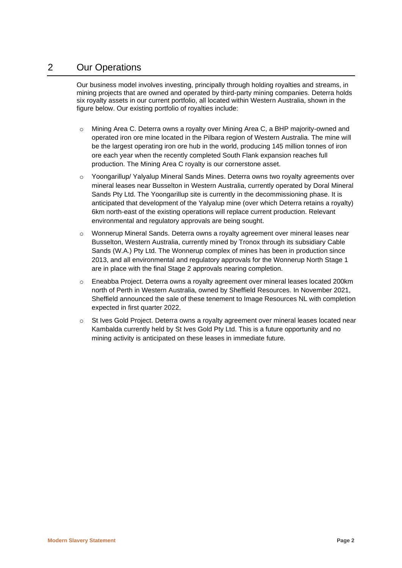## 2 Our Operations

Our business model involves investing, principally through holding royalties and streams, in mining projects that are owned and operated by third-party mining companies. Deterra holds six royalty assets in our current portfolio, all located within Western Australia, shown in the figure below. Our existing portfolio of royalties include:

- o Mining Area C. Deterra owns a royalty over Mining Area C, a BHP majority-owned and operated iron ore mine located in the Pilbara region of Western Australia. The mine will be the largest operating iron ore hub in the world, producing 145 million tonnes of iron ore each year when the recently completed South Flank expansion reaches full production. The Mining Area C royalty is our cornerstone asset.
- $\circ$  Yoongarillup/ Yalyalup Mineral Sands Mines. Deterra owns two royalty agreements over mineral leases near Busselton in Western Australia, currently operated by Doral Mineral Sands Pty Ltd. The Yoongarillup site is currently in the decommissioning phase. It is anticipated that development of the Yalyalup mine (over which Deterra retains a royalty) 6km north-east of the existing operations will replace current production. Relevant environmental and regulatory approvals are being sought.
- o Wonnerup Mineral Sands. Deterra owns a royalty agreement over mineral leases near Busselton, Western Australia, currently mined by Tronox through its subsidiary Cable Sands (W.A.) Pty Ltd. The Wonnerup complex of mines has been in production since 2013, and all environmental and regulatory approvals for the Wonnerup North Stage 1 are in place with the final Stage 2 approvals nearing completion.
- o Eneabba Project. Deterra owns a royalty agreement over mineral leases located 200km north of Perth in Western Australia, owned by Sheffield Resources. In November 2021, Sheffield announced the sale of these tenement to Image Resources NL with completion expected in first quarter 2022.
- o St Ives Gold Project. Deterra owns a royalty agreement over mineral leases located near Kambalda currently held by St Ives Gold Pty Ltd. This is a future opportunity and no mining activity is anticipated on these leases in immediate future.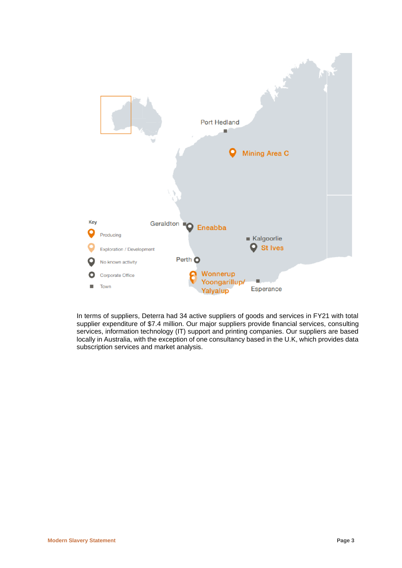

In terms of suppliers, Deterra had 34 active suppliers of goods and services in FY21 with total supplier expenditure of \$7.4 million. Our major suppliers provide financial services, consulting services, information technology (IT) support and printing companies. Our suppliers are based locally in Australia, with the exception of one consultancy based in the U.K, which provides data subscription services and market analysis.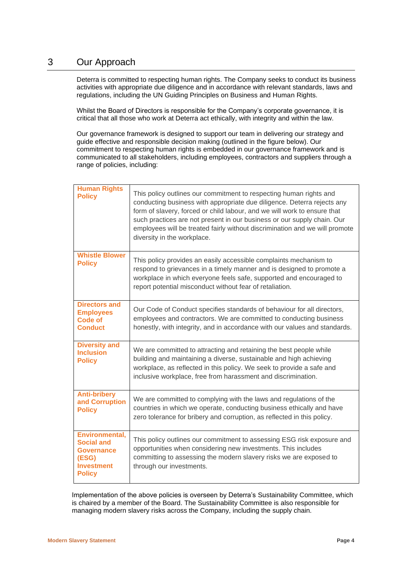## 3 Our Approach

Deterra is committed to respecting human rights. The Company seeks to conduct its business activities with appropriate due diligence and in accordance with relevant standards, laws and regulations, including the UN Guiding Principles on Business and Human Rights.

Whilst the Board of Directors is responsible for the Company's corporate governance, it is critical that all those who work at Deterra act ethically, with integrity and within the law.

Our governance framework is designed to support our team in delivering our strategy and guide effective and responsible decision making (outlined in the figure below). Our commitment to respecting human rights is embedded in our governance framework and is communicated to all stakeholders, including employees, contractors and suppliers through a range of policies, including:

| <b>Human Rights</b><br><b>Policy</b>                                                                    | This policy outlines our commitment to respecting human rights and<br>conducting business with appropriate due diligence. Deterra rejects any<br>form of slavery, forced or child labour, and we will work to ensure that<br>such practices are not present in our business or our supply chain. Our<br>employees will be treated fairly without discrimination and we will promote<br>diversity in the workplace. |
|---------------------------------------------------------------------------------------------------------|--------------------------------------------------------------------------------------------------------------------------------------------------------------------------------------------------------------------------------------------------------------------------------------------------------------------------------------------------------------------------------------------------------------------|
| <b>Whistle Blower</b><br><b>Policy</b>                                                                  | This policy provides an easily accessible complaints mechanism to<br>respond to grievances in a timely manner and is designed to promote a<br>workplace in which everyone feels safe, supported and encouraged to<br>report potential misconduct without fear of retaliation.                                                                                                                                      |
| <b>Directors and</b><br><b>Employees</b><br><b>Code of</b><br><b>Conduct</b>                            | Our Code of Conduct specifies standards of behaviour for all directors,<br>employees and contractors. We are committed to conducting business<br>honestly, with integrity, and in accordance with our values and standards.                                                                                                                                                                                        |
| <b>Diversity and</b><br><b>Inclusion</b><br><b>Policy</b>                                               | We are committed to attracting and retaining the best people while<br>building and maintaining a diverse, sustainable and high achieving<br>workplace, as reflected in this policy. We seek to provide a safe and<br>inclusive workplace, free from harassment and discrimination.                                                                                                                                 |
| <b>Anti-bribery</b><br>and Corruption<br><b>Policy</b>                                                  | We are committed to complying with the laws and regulations of the<br>countries in which we operate, conducting business ethically and have<br>zero tolerance for bribery and corruption, as reflected in this policy.                                                                                                                                                                                             |
| Environmental,<br><b>Social and</b><br><b>Governance</b><br>(ESG)<br><b>Investment</b><br><b>Policy</b> | This policy outlines our commitment to assessing ESG risk exposure and<br>opportunities when considering new investments. This includes<br>committing to assessing the modern slavery risks we are exposed to<br>through our investments.                                                                                                                                                                          |

Implementation of the above policies is overseen by Deterra's Sustainability Committee, which is chaired by a member of the Board. The Sustainability Committee is also responsible for managing modern slavery risks across the Company, including the supply chain.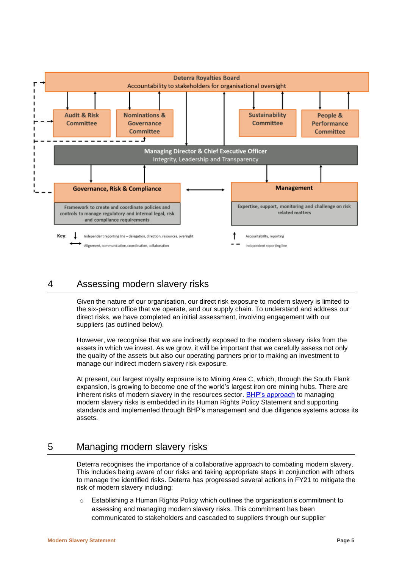

# 4 Assessing modern slavery risks

Given the nature of our organisation, our direct risk exposure to modern slavery is limited to the six-person office that we operate, and our supply chain. To understand and address our direct risks, we have completed an initial assessment, involving engagement with our suppliers (as outlined below).

However, we recognise that we are indirectly exposed to the modern slavery risks from the assets in which we invest. As we grow, it will be important that we carefully assess not only the quality of the assets but also our operating partners prior to making an investment to manage our indirect modern slavery risk exposure.

At present, our largest royalty exposure is to Mining Area C, which, through the South Flank expansion, is growing to become one of the world's largest iron ore mining hubs. There are inherent risks of modern slavery in the resources sector. **BHP's approach** to managing modern slavery risks is embedded in its Human Rights Policy Statement and supporting standards and implemented through BHP's management and due diligence systems across its assets.

# 5 Managing modern slavery risks

Deterra recognises the importance of a collaborative approach to combating modern slavery. This includes being aware of our risks and taking appropriate steps in conjunction with others to manage the identified risks. Deterra has progressed several actions in FY21 to mitigate the risk of modern slavery including:

o Establishing a Human Rights Policy which outlines the organisation's commitment to assessing and managing modern slavery risks. This commitment has been communicated to stakeholders and cascaded to suppliers through our supplier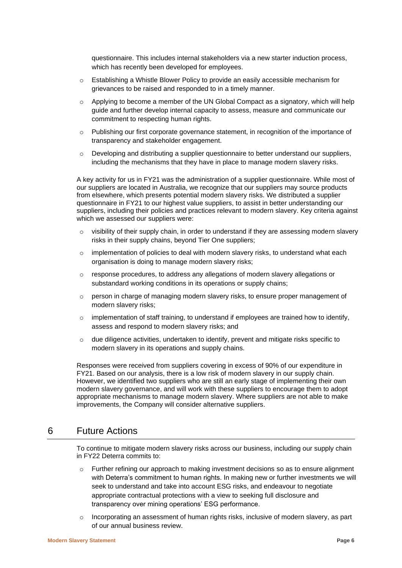questionnaire. This includes internal stakeholders via a new starter induction process, which has recently been developed for employees.

- $\circ$  Establishing a Whistle Blower Policy to provide an easily accessible mechanism for grievances to be raised and responded to in a timely manner.
- $\circ$  Applying to become a member of the UN Global Compact as a signatory, which will help guide and further develop internal capacity to assess, measure and communicate our commitment to respecting human rights.
- o Publishing our first corporate governance statement, in recognition of the importance of transparency and stakeholder engagement.
- $\circ$  Developing and distributing a supplier questionnaire to better understand our suppliers, including the mechanisms that they have in place to manage modern slavery risks.

A key activity for us in FY21 was the administration of a supplier questionnaire. While most of our suppliers are located in Australia, we recognize that our suppliers may source products from elsewhere, which presents potential modern slavery risks. We distributed a supplier questionnaire in FY21 to our highest value suppliers, to assist in better understanding our suppliers, including their policies and practices relevant to modern slavery. Key criteria against which we assessed our suppliers were:

- $\circ$  visibility of their supply chain, in order to understand if they are assessing modern slavery risks in their supply chains, beyond Tier One suppliers;
- implementation of policies to deal with modern slavery risks, to understand what each organisation is doing to manage modern slavery risks;
- $\circ$  response procedures, to address any allegations of modern slavery allegations or substandard working conditions in its operations or supply chains;
- $\circ$  person in charge of managing modern slavery risks, to ensure proper management of modern slavery risks;
- $\circ$  implementation of staff training, to understand if employees are trained how to identify, assess and respond to modern slavery risks; and
- o due diligence activities, undertaken to identify, prevent and mitigate risks specific to modern slavery in its operations and supply chains.

Responses were received from suppliers covering in excess of 90% of our expenditure in FY21. Based on our analysis, there is a low risk of modern slavery in our supply chain. However, we identified two suppliers who are still an early stage of implementing their own modern slavery governance, and will work with these suppliers to encourage them to adopt appropriate mechanisms to manage modern slavery. Where suppliers are not able to make improvements, the Company will consider alternative suppliers.

#### 6 Future Actions

To continue to mitigate modern slavery risks across our business, including our supply chain in FY22 Deterra commits to:

- o Further refining our approach to making investment decisions so as to ensure alignment with Deterra's commitment to human rights. In making new or further investments we will seek to understand and take into account ESG risks, and endeavour to negotiate appropriate contractual protections with a view to seeking full disclosure and transparency over mining operations' ESG performance.
- Incorporating an assessment of human rights risks, inclusive of modern slavery, as part of our annual business review.